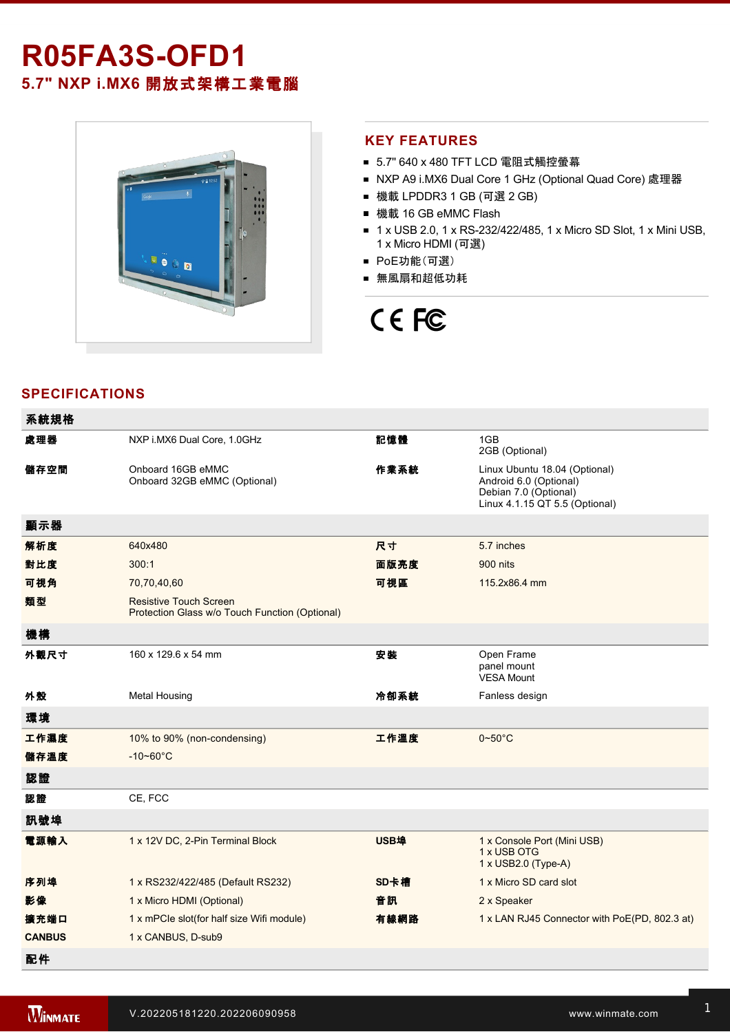## **R05FA3S-OFD1 5.7" NXP i.MX6** 開放式架構工業電腦



#### **KEY FEATURES**

- 5.7" 640 x 480 TFT LCD 電阻式觸控螢幕
- NXP A9 i.MX6 Dual Core 1 GHz (Optional Quad Core) 處理器
- 機載 LPDDR3 1 GB (可選 2 GB)
- 機載 16 GB eMMC Flash
- 1 x USB 2.0, 1 x RS-232/422/485, 1 x Micro SD Slot, 1 x Mini USB, 1 x Micro HDMI (可選)
- PoE功能(可選)
- 無風扇和超低功耗

# CE FC

#### **SPECIFICATIONS**

| 系統規格          |                                                                                 |      |                                                                                                                    |
|---------------|---------------------------------------------------------------------------------|------|--------------------------------------------------------------------------------------------------------------------|
| 處理器           | NXP i.MX6 Dual Core, 1.0GHz                                                     | 記憶體  | 1GB<br>2GB (Optional)                                                                                              |
| 儲存空間          | Onboard 16GB eMMC<br>Onboard 32GB eMMC (Optional)                               | 作業系統 | Linux Ubuntu 18.04 (Optional)<br>Android 6.0 (Optional)<br>Debian 7.0 (Optional)<br>Linux 4.1.15 QT 5.5 (Optional) |
| 顯示器           |                                                                                 |      |                                                                                                                    |
| 解析度           | 640x480                                                                         | 尺寸   | 5.7 inches                                                                                                         |
| 對比度           | 300:1                                                                           | 面版亮度 | 900 nits                                                                                                           |
| 可視角           | 70,70,40,60                                                                     | 可視區  | 115.2x86.4 mm                                                                                                      |
| 類型            | <b>Resistive Touch Screen</b><br>Protection Glass w/o Touch Function (Optional) |      |                                                                                                                    |
| 機構            |                                                                                 |      |                                                                                                                    |
| 外觀尺寸          | 160 x 129.6 x 54 mm                                                             | 安装   | Open Frame<br>panel mount<br><b>VESA Mount</b>                                                                     |
| 外殼            | <b>Metal Housing</b>                                                            | 冷卻系統 | Fanless design                                                                                                     |
| 環境            |                                                                                 |      |                                                                                                                    |
| 工作濕度          | 10% to 90% (non-condensing)                                                     | 工作溫度 | $0\neg 50^\circ C$                                                                                                 |
| 儲存溫度          | $-10 - 60^{\circ}$ C                                                            |      |                                                                                                                    |
| 認證            |                                                                                 |      |                                                                                                                    |
| 認證            | CE, FCC                                                                         |      |                                                                                                                    |
| 訊號埠           |                                                                                 |      |                                                                                                                    |
| 電源輸入          | 1 x 12V DC, 2-Pin Terminal Block                                                | USB埠 | 1 x Console Port (Mini USB)<br>1 x USB OTG<br>1 x USB2.0 (Type-A)                                                  |
| 序列埠           | 1 x RS232/422/485 (Default RS232)                                               | SD卡槽 | 1 x Micro SD card slot                                                                                             |
| 影像            | 1 x Micro HDMI (Optional)                                                       | 音訊   | 2 x Speaker                                                                                                        |
| 擴充端口          | 1 x mPCle slot(for half size Wifi module)                                       | 有線網路 | 1 x LAN RJ45 Connector with PoE(PD, 802.3 at)                                                                      |
| <b>CANBUS</b> | 1 x CANBUS, D-sub9                                                              |      |                                                                                                                    |
| 配件            |                                                                                 |      |                                                                                                                    |

電源

Power Cord